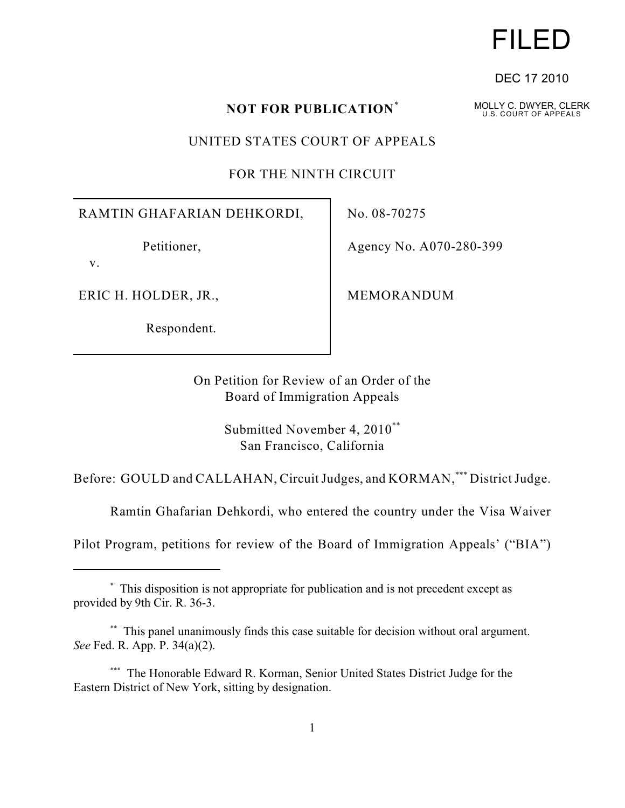## **NOT FOR PUBLICATION**\*

UNITED STATES COURT OF APPEALS

FOR THE NINTH CIRCUIT

RAMTIN GHAFARIAN DEHKORDI,

Petitioner,

v.

ERIC H. HOLDER, JR.,

Respondent.

No. 08-70275

Agency No. A070-280-399

MEMORANDUM

On Petition for Review of an Order of the Board of Immigration Appeals

> Submitted November 4, 2010\*\* San Francisco, California

Before: GOULD and CALLAHAN, Circuit Judges, and KORMAN, \*\*\* District Judge.

Ramtin Ghafarian Dehkordi, who entered the country under the Visa Waiver

Pilot Program, petitions for review of the Board of Immigration Appeals' ("BIA")

MOLLY C. DWYER, CLERK U.S. COURT OF APPEALS

DEC 17 2010

# FILED

This disposition is not appropriate for publication and is not precedent except as \* provided by 9th Cir. R. 36-3.

<sup>\*\*</sup> This panel unanimously finds this case suitable for decision without oral argument. *See* Fed. R. App. P. 34(a)(2).

<sup>\*\*\*</sup> The Honorable Edward R. Korman, Senior United States District Judge for the Eastern District of New York, sitting by designation.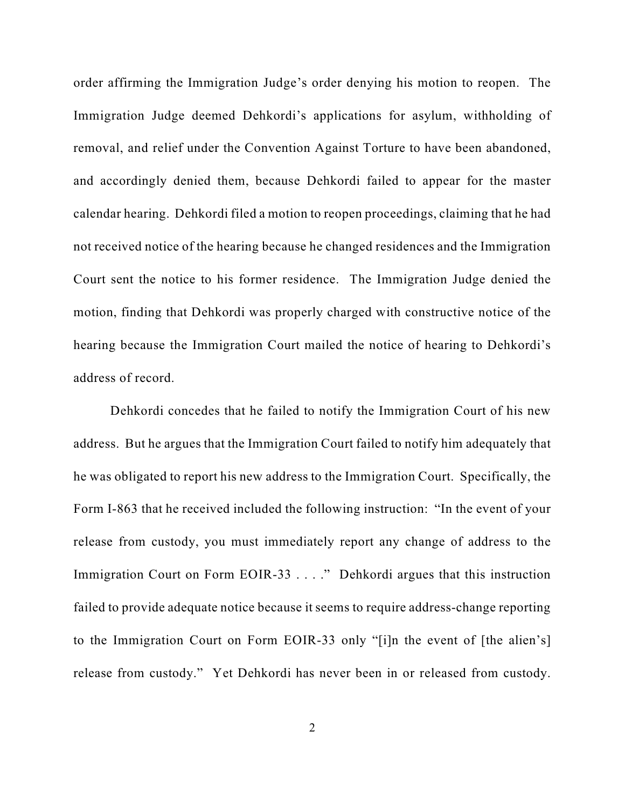order affirming the Immigration Judge's order denying his motion to reopen. The Immigration Judge deemed Dehkordi's applications for asylum, withholding of removal, and relief under the Convention Against Torture to have been abandoned, and accordingly denied them, because Dehkordi failed to appear for the master calendar hearing. Dehkordi filed a motion to reopen proceedings, claiming that he had not received notice of the hearing because he changed residences and the Immigration Court sent the notice to his former residence. The Immigration Judge denied the motion, finding that Dehkordi was properly charged with constructive notice of the hearing because the Immigration Court mailed the notice of hearing to Dehkordi's address of record.

Dehkordi concedes that he failed to notify the Immigration Court of his new address. But he argues that the Immigration Court failed to notify him adequately that he was obligated to report his new address to the Immigration Court. Specifically, the Form I-863 that he received included the following instruction: "In the event of your release from custody, you must immediately report any change of address to the Immigration Court on Form EOIR-33 . . . ." Dehkordi argues that this instruction failed to provide adequate notice because it seems to require address-change reporting to the Immigration Court on Form EOIR-33 only "[i]n the event of [the alien's] release from custody." Yet Dehkordi has never been in or released from custody.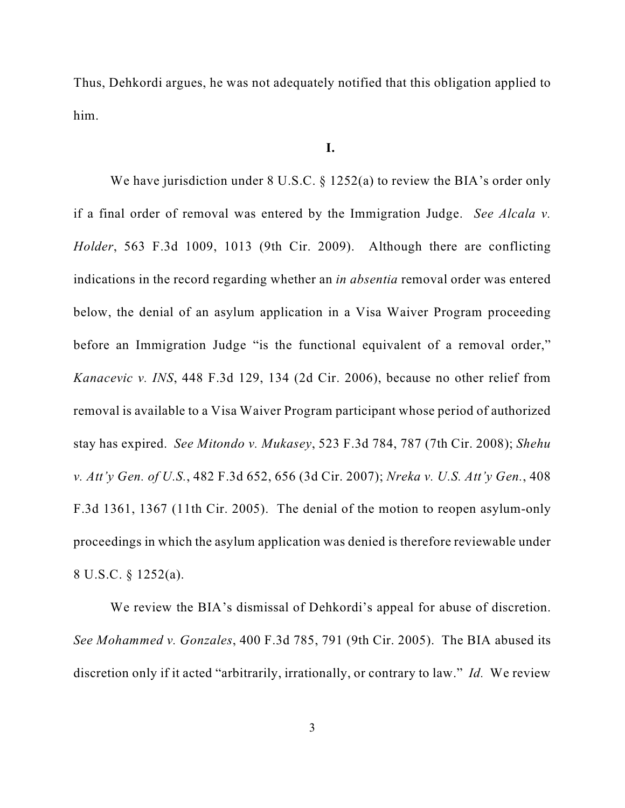Thus, Dehkordi argues, he was not adequately notified that this obligation applied to him.

### **I.**

We have jurisdiction under 8 U.S.C. § 1252(a) to review the BIA's order only if a final order of removal was entered by the Immigration Judge. *See Alcala v. Holder*, 563 F.3d 1009, 1013 (9th Cir. 2009). Although there are conflicting indications in the record regarding whether an *in absentia* removal order was entered below, the denial of an asylum application in a Visa Waiver Program proceeding before an Immigration Judge "is the functional equivalent of a removal order," *Kanacevic v. INS*, 448 F.3d 129, 134 (2d Cir. 2006), because no other relief from removal is available to a Visa Waiver Program participant whose period of authorized stay has expired. *See Mitondo v. Mukasey*, 523 F.3d 784, 787 (7th Cir. 2008); *Shehu v. Att'y Gen. of U.S.*, 482 F.3d 652, 656 (3d Cir. 2007); *Nreka v. U.S. Att'y Gen.*, 408 F.3d 1361, 1367 (11th Cir. 2005). The denial of the motion to reopen asylum-only proceedings in which the asylum application was denied is therefore reviewable under 8 U.S.C. § 1252(a).

We review the BIA's dismissal of Dehkordi's appeal for abuse of discretion. *See Mohammed v. Gonzales*, 400 F.3d 785, 791 (9th Cir. 2005). The BIA abused its discretion only if it acted "arbitrarily, irrationally, or contrary to law." *Id.* We review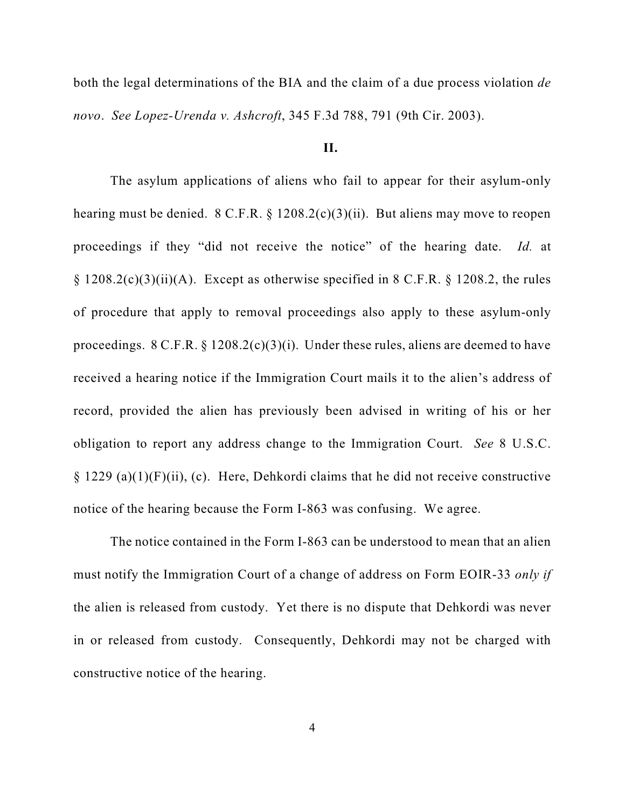both the legal determinations of the BIA and the claim of a due process violation *de novo*. *See Lopez-Urenda v. Ashcroft*, 345 F.3d 788, 791 (9th Cir. 2003).

### **II.**

The asylum applications of aliens who fail to appear for their asylum-only hearing must be denied.  $8 \text{ C.F.R.}$   $\S 1208.2(c)(3)(ii)$ . But aliens may move to reopen proceedings if they "did not receive the notice" of the hearing date. *Id.* at  $\S$  1208.2(c)(3)(ii)(A). Except as otherwise specified in 8 C.F.R.  $\S$  1208.2, the rules of procedure that apply to removal proceedings also apply to these asylum-only proceedings.  $8 \text{ C.F.R.} \$   $1208.2(c)(3)(i)$ . Under these rules, aliens are deemed to have received a hearing notice if the Immigration Court mails it to the alien's address of record, provided the alien has previously been advised in writing of his or her obligation to report any address change to the Immigration Court. *See* 8 U.S.C.  $\S 1229$  (a)(1)(F)(ii), (c). Here, Dehkordi claims that he did not receive constructive notice of the hearing because the Form I-863 was confusing. We agree.

The notice contained in the Form I-863 can be understood to mean that an alien must notify the Immigration Court of a change of address on Form EOIR-33 *only if* the alien is released from custody. Yet there is no dispute that Dehkordi was never in or released from custody. Consequently, Dehkordi may not be charged with constructive notice of the hearing.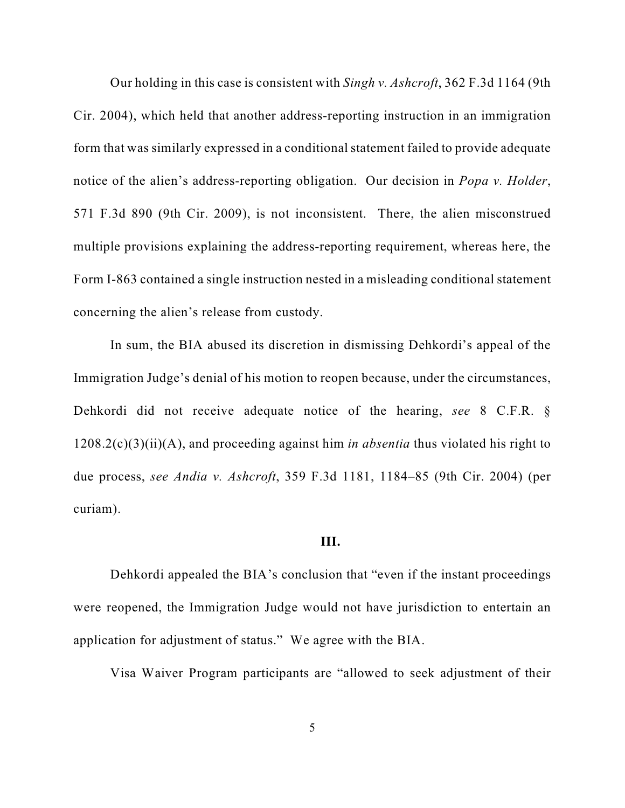Our holding in this case is consistent with *Singh v. Ashcroft*, 362 F.3d 1164 (9th Cir. 2004), which held that another address-reporting instruction in an immigration form that was similarly expressed in a conditional statement failed to provide adequate notice of the alien's address-reporting obligation. Our decision in *Popa v. Holder*, 571 F.3d 890 (9th Cir. 2009), is not inconsistent. There, the alien misconstrued multiple provisions explaining the address-reporting requirement, whereas here, the Form I-863 contained a single instruction nested in a misleading conditional statement concerning the alien's release from custody.

In sum, the BIA abused its discretion in dismissing Dehkordi's appeal of the Immigration Judge's denial of his motion to reopen because, under the circumstances, Dehkordi did not receive adequate notice of the hearing, *see* 8 C.F.R. § 1208.2(c)(3)(ii)(A), and proceeding against him *in absentia* thus violated his right to due process, *see Andia v. Ashcroft*, 359 F.3d 1181, 1184–85 (9th Cir. 2004) (per curiam).

#### **III.**

Dehkordi appealed the BIA's conclusion that "even if the instant proceedings were reopened, the Immigration Judge would not have jurisdiction to entertain an application for adjustment of status." We agree with the BIA.

Visa Waiver Program participants are "allowed to seek adjustment of their